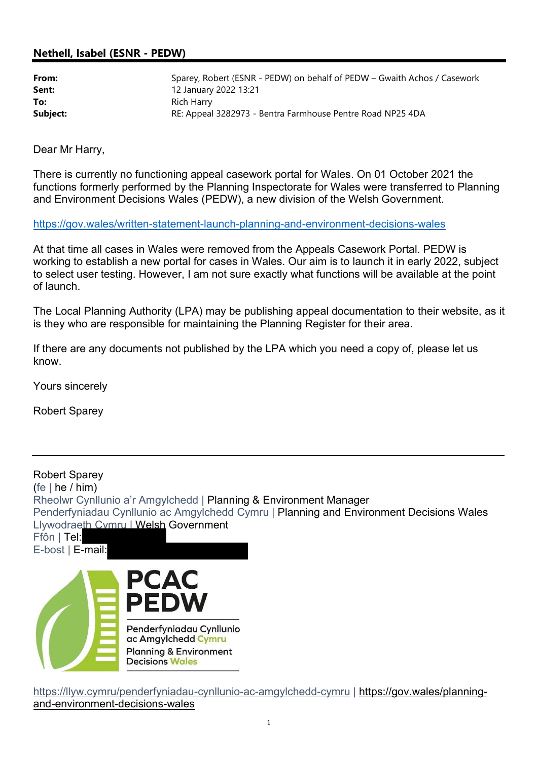### Nethell, Isabel (ESNR - PEDW)

| From:    | Sparey, Robert (ESNR - PEDW) on behalf of PEDW - Gwaith Achos / Casework |
|----------|--------------------------------------------------------------------------|
| Sent:    | 12 January 2022 13:21                                                    |
| To:      | Rich Harry                                                               |
| Subject: | RE: Appeal 3282973 - Bentra Farmhouse Pentre Road NP25 4DA               |

Dear Mr Harry,

There is currently no functioning appeal casework portal for Wales. On 01 October 2021 the functions formerly performed by the Planning Inspectorate for Wales were transferred to Planning and Environment Decisions Wales (PEDW), a new division of the Welsh Government.

https://gov.wales/written-statement-launch-planning-and-environment-decisions-wales

At that time all cases in Wales were removed from the Appeals Casework Portal. PEDW is working to establish a new portal for cases in Wales. Our aim is to launch it in early 2022, subject to select user testing. However, I am not sure exactly what functions will be available at the point of launch.

The Local Planning Authority (LPA) may be publishing appeal documentation to their website, as it is they who are responsible for maintaining the Planning Register for their area.

If there are any documents not published by the LPA which you need a copy of, please let us know.

Yours sincerely

Robert Sparey

Robert Sparey (fe  $|$  he  $/$  him) Rheolwr Cynllunio a'r Amgylchedd | Planning & Environment Manager Penderfyniadau Cynllunio ac Amgylchedd Cymru | Planning and Environment Decisions Wales Llywodraeth Cymru | Welsh Government Ffôn | Tel: E-bost | E-mail:



https://llyw.cymru/penderfyniadau-cynllunio-ac-amgylchedd-cymru | https://gov.wales/planningand-environment-decisions-wales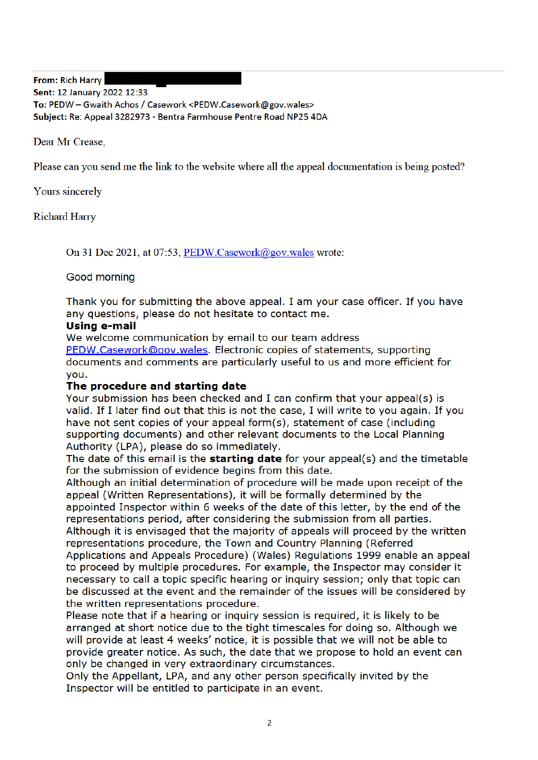From: Rich Harry

Sent: 12 January 2022 12:33 To: PEDW - Gwaith Achos / Casework <PEDW.Casework@gov.wales>

Subiect: Re: Appeal 3282973 - Bentra Farmhouse Pentre Road NP25 4DA

Dear Mr Crease.

Please can you send me the link to the website where all the appeal documentation is being posted?

Yours sincerely

**Richard Harry** 

On 31 Dec 2021, at 07:53, PEDW.Casework@gov.wales wrote:

Good morning

Thank you for submitting the above appeal. I am your case officer. If you have any questions, please do not hesitate to contact me.

#### Using e-mail

We welcome communication by email to our team address

PEDW.Casework@gov.wales. Electronic copies of statements, supporting documents and comments are particularly useful to us and more efficient for vou.

### The procedure and starting date

Your submission has been checked and I can confirm that your appeal(s) is valid. If I later find out that this is not the case, I will write to you again. If you have not sent copies of your appeal form(s), statement of case (including supporting documents) and other relevant documents to the Local Planning Authority (LPA), please do so immediately.

The date of this email is the starting date for your appeal(s) and the timetable for the submission of evidence begins from this date.

Although an initial determination of procedure will be made upon receipt of the appeal (Written Representations), it will be formally determined by the appointed Inspector within 6 weeks of the date of this letter, by the end of the representations period, after considering the submission from all parties.

Although it is envisaged that the majority of appeals will proceed by the written representations procedure, the Town and Country Planning (Referred Applications and Appeals Procedure) (Wales) Regulations 1999 enable an appeal to proceed by multiple procedures. For example, the Inspector may consider it necessary to call a topic specific hearing or inquiry session; only that topic can be discussed at the event and the remainder of the issues will be considered by the written representations procedure.

Please note that if a hearing or inguiry session is reguired, it is likely to be arranged at short notice due to the tight timescales for doing so. Although we will provide at least 4 weeks' notice, it is possible that we will not be able to provide greater notice. As such, the date that we propose to hold an event can only be changed in very extraordinary circumstances.

Only the Appellant, LPA, and any other person specifically invited by the Inspector will be entitled to participate in an event.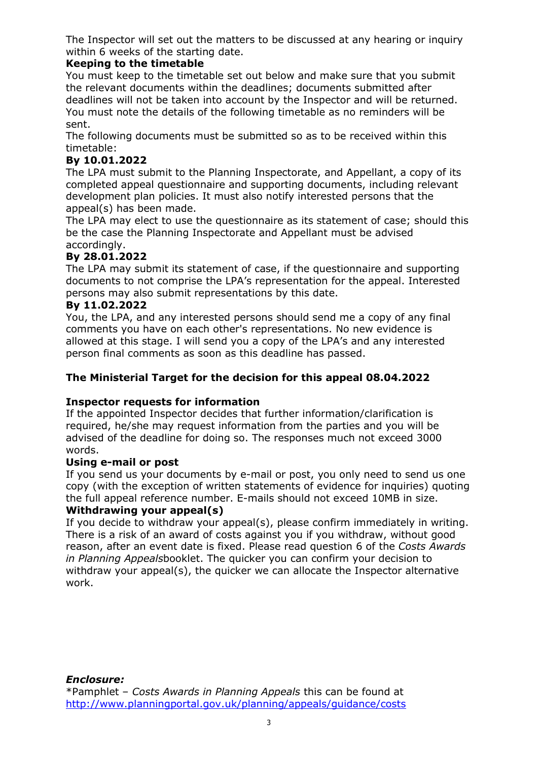The Inspector will set out the matters to be discussed at any hearing or inquiry within 6 weeks of the starting date.

## Keeping to the timetable

You must keep to the timetable set out below and make sure that you submit the relevant documents within the deadlines; documents submitted after deadlines will not be taken into account by the Inspector and will be returned. You must note the details of the following timetable as no reminders will be sent.

The following documents must be submitted so as to be received within this timetable:

# By 10.01.2022

The LPA must submit to the Planning Inspectorate, and Appellant, a copy of its completed appeal questionnaire and supporting documents, including relevant development plan policies. It must also notify interested persons that the appeal(s) has been made.

The LPA may elect to use the questionnaire as its statement of case; should this be the case the Planning Inspectorate and Appellant must be advised accordingly.

## By 28.01.2022

The LPA may submit its statement of case, if the questionnaire and supporting documents to not comprise the LPA's representation for the appeal. Interested persons may also submit representations by this date.

## By 11.02.2022

You, the LPA, and any interested persons should send me a copy of any final comments you have on each other's representations. No new evidence is allowed at this stage. I will send you a copy of the LPA's and any interested person final comments as soon as this deadline has passed.

## The Ministerial Target for the decision for this appeal 08.04.2022

## Inspector requests for information

If the appointed Inspector decides that further information/clarification is required, he/she may request information from the parties and you will be advised of the deadline for doing so. The responses much not exceed 3000 words.

## Using e-mail or post

If you send us your documents by e-mail or post, you only need to send us one copy (with the exception of written statements of evidence for inquiries) quoting the full appeal reference number. E-mails should not exceed 10MB in size. Withdrawing your appeal(s)

If you decide to withdraw your appeal(s), please confirm immediately in writing. There is a risk of an award of costs against you if you withdraw, without good reason, after an event date is fixed. Please read question 6 of the Costs Awards in Planning Appealsbooklet. The quicker you can confirm your decision to withdraw your appeal(s), the quicker we can allocate the Inspector alternative work.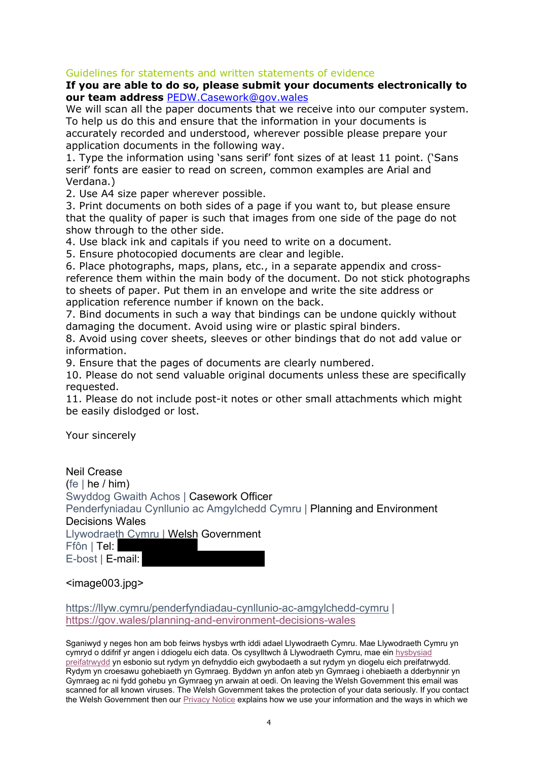#### Guidelines for statements and written statements of evidence

#### If you are able to do so, please submit your documents electronically to our team address PEDW.Casework@gov.wales

We will scan all the paper documents that we receive into our computer system. To help us do this and ensure that the information in your documents is accurately recorded and understood, wherever possible please prepare your application documents in the following way.

1. Type the information using 'sans serif' font sizes of at least 11 point. ('Sans serif' fonts are easier to read on screen, common examples are Arial and Verdana.)

2. Use A4 size paper wherever possible.

3. Print documents on both sides of a page if you want to, but please ensure that the quality of paper is such that images from one side of the page do not show through to the other side.

4. Use black ink and capitals if you need to write on a document.

5. Ensure photocopied documents are clear and legible.

6. Place photographs, maps, plans, etc., in a separate appendix and crossreference them within the main body of the document. Do not stick photographs to sheets of paper. Put them in an envelope and write the site address or application reference number if known on the back.

7. Bind documents in such a way that bindings can be undone quickly without damaging the document. Avoid using wire or plastic spiral binders.

8. Avoid using cover sheets, sleeves or other bindings that do not add value or information.

9. Ensure that the pages of documents are clearly numbered.

10. Please do not send valuable original documents unless these are specifically requested.

11. Please do not include post-it notes or other small attachments which might be easily dislodged or lost.

Your sincerely

Neil Crease (fe  $|$  he  $/$  him) Swyddog Gwaith Achos | Casework Officer Penderfyniadau Cynllunio ac Amgylchedd Cymru | Planning and Environment Decisions Wales Llywodraeth Cymru | Welsh Government Ffôn | Tel: E-bost | E-mail:

<image003.jpg>

https://llyw.cymru/penderfyndiadau-cynllunio-ac-amgylchedd-cymru | https://gov.wales/planning-and-environment-decisions-wales

Sganiwyd y neges hon am bob feirws hysbys wrth iddi adael Llywodraeth Cymru. Mae Llywodraeth Cymru yn cymryd o ddifrif yr angen i ddiogelu eich data. Os cysylltwch â Llywodraeth Cymru, mae ein hysbysiad preifatrwydd yn esbonio sut rydym yn defnyddio eich gwybodaeth a sut rydym yn diogelu eich preifatrwydd. Rydym yn croesawu gohebiaeth yn Gymraeg. Byddwn yn anfon ateb yn Gymraeg i ohebiaeth a dderbynnir yn Gymraeg ac ni fydd gohebu yn Gymraeg yn arwain at oedi. On leaving the Welsh Government this email was scanned for all known viruses. The Welsh Government takes the protection of your data seriously. If you contact the Welsh Government then our Privacy Notice explains how we use your information and the ways in which we